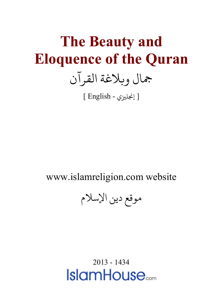## **The Beauty and Eloquence of the Quran** جال و�لاغة القرآن

[ إ�ل�ي - English[

www.islamreligion.com website

موقع دين الإسلام

2013 - 1434**IslamHouse**<sub>com</sub>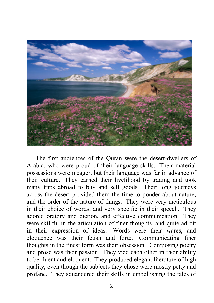

The first audiences of the Quran were the desert-dwellers of Arabia, who were proud of their language skills. Their material possessions were meager, but their language was far in advance of their culture. They earned their livelihood by trading and took many trips abroad to buy and sell goods. Their long journeys across the desert provided them the time to ponder about nature, and the order of the nature of things. They were very meticulous in their choice of words, and very specific in their speech. They adored oratory and diction, and effective communication. They were skillful in the articulation of finer thoughts, and quite adroit in their expression of ideas. Words were their wares, and eloquence was their fetish and forte. Communicating finer thoughts in the finest form was their obsession. Composing poetry and prose was their passion. They vied each other in their ability to be fluent and eloquent. They produced elegant literature of high quality, even though the subjects they chose were mostly petty and profane. They squandered their skills in embellishing the tales of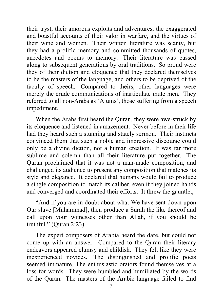their tryst, their amorous exploits and adventures, the exaggerated and boastful accounts of their valor in warfare, and the virtues of their wine and women. Their written literature was scanty, but they had a prolific memory and committed thousands of quotes, anecdotes and poems to memory. Their literature was passed along to subsequent generations by oral traditions. So proud were they of their diction and eloquence that they declared themselves to be the masters of the language, and others to be deprived of the faculty of speech. Compared to theirs, other languages were merely the crude communications of inarticulate mute men. They referred to all non-Arabs as 'Ajums', those suffering from a speech impediment.

When the Arabs first heard the Quran, they were awe-struck by its eloquence and listened in amazement. Never before in their life had they heard such a stunning and stately sermon. Their instincts convinced them that such a noble and impressive discourse could only be a divine diction, not a human creation. It was far more sublime and solemn than all their literature put together. The Quran proclaimed that it was not a man-made composition, and challenged its audience to present any composition that matches its style and elegance. It declared that humans would fail to produce a single composition to match its caliber, even if they joined hands and converged and coordinated their efforts. It threw the gauntlet,

"And if you are in doubt about what We have sent down upon Our slave [Muhammad], then produce a Surah the like thereof and call upon your witnesses other than Allah, if you should be truthful." (Quran 2:23)

The expert composers of Arabia heard the dare, but could not come up with an answer. Compared to the Quran their literary endeavors appeared clumsy and childish. They felt like they were inexperienced novices. The distinguished and prolific poets seemed immature. The enthusiastic orators found themselves at a loss for words. They were humbled and humiliated by the words of the Quran. The masters of the Arabic language failed to find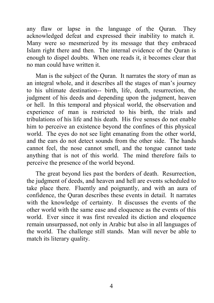any flaw or lapse in the language of the Quran. They acknowledged defeat and expressed their inability to match it. Many were so mesmerized by its message that they embraced Islam right there and then. The internal evidence of the Quran is enough to dispel doubts. When one reads it, it becomes clear that no man could have written it.

Man is the subject of the Quran. It narrates the story of man as an integral whole, and it describes all the stages of man's journey to his ultimate destination-- birth, life, death, resurrection, the judgment of his deeds and depending upon the judgment, heaven or hell. In this temporal and physical world, the observation and experience of man is restricted to his birth, the trials and tribulations of his life and his death. His five senses do not enable him to perceive an existence beyond the confines of this physical world. The eyes do not see light emanating from the other world, and the ears do not detect sounds from the other side. The hands cannot feel, the nose cannot smell, and the tongue cannot taste anything that is not of this world. The mind therefore fails to perceive the presence of the world beyond.

The great beyond lies past the borders of death. Resurrection, the judgment of deeds, and heaven and hell are events scheduled to take place there. Fluently and poignantly, and with an aura of confidence, the Quran describes these events in detail. It narrates with the knowledge of certainty. It discusses the events of the other world with the same ease and eloquence as the events of this world. Ever since it was first revealed its diction and eloquence remain unsurpassed, not only in Arabic but also in all languages of the world. The challenge still stands. Man will never be able to match its literary quality.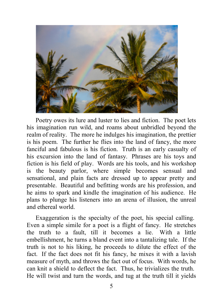

Poetry owes its lure and luster to lies and fiction. The poet lets his imagination run wild, and roams about unbridled beyond the realm of reality. The more he indulges his imagination, the prettier is his poem. The further he flies into the land of fancy, the more fanciful and fabulous is his fiction. Truth is an early casualty of his excursion into the land of fantasy. Phrases are his toys and fiction is his field of play. Words are his tools, and his workshop is the beauty parlor, where simple becomes sensual and sensational, and plain facts are dressed up to appear pretty and presentable. Beautiful and befitting words are his profession, and he aims to spark and kindle the imagination of his audience. He plans to plunge his listeners into an arena of illusion, the unreal and ethereal world.

Exaggeration is the specialty of the poet, his special calling. Even a simple simile for a poet is a flight of fancy. He stretches the truth to a fault, till it becomes a lie. With a little embellishment, he turns a bland event into a tantalizing tale. If the truth is not to his liking, he proceeds to dilute the effect of the fact. If the fact does not fit his fancy, he mixes it with a lavish measure of myth, and throws the fact out of focus. With words, he can knit a shield to deflect the fact. Thus, he trivializes the truth. He will twist and turn the words, and tug at the truth till it yields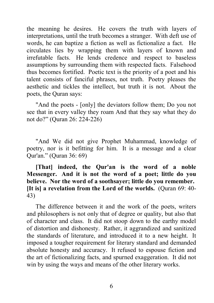the meaning he desires. He covers the truth with layers of interpretations, until the truth becomes a stranger. With deft use of words, he can baptize a fiction as well as fictionalize a fact. He circulates lies by wrapping them with layers of known and irrefutable facts. He lends credence and respect to baseless assumptions by surrounding them with respected facts. Falsehood thus becomes fortified. Poetic text is the priority of a poet and his talent consists of fanciful phrases, not truth. Poetry pleases the aesthetic and tickles the intellect, but truth it is not. About the poets, the Quran says:

"And the poets - [only] the deviators follow them; Do you not see that in every valley they roam And that they say what they do not do?ˮ (Quran 26: 224-226)

"And We did not give Prophet Muhammad, knowledge of poetry, nor is it befitting for him. It is a message and a clear Qur'an.ˮ (Quran 36: 69)

## **[That] indeed, the Qur'an is the word of a noble Messenger. And it is not the word of a poet; little do you believe. Nor the word of a soothsayer; little do you remember. [It is] a revelation from the Lord of the worlds.** (Quran 69: 40- 43)

The difference between it and the work of the poets, writers and philosophers is not only that of degree or quality, but also that of character and class. It did not stoop down to the earthy model of distortion and dishonesty. Rather, it aggrandized and sanitized the standards of literature, and introduced it to a new height. It imposed a tougher requirement for literary standard and demanded absolute honesty and accuracy. It refused to espouse fiction and the art of fictionalizing facts, and spurned exaggeration. It did not win by using the ways and means of the other literary works.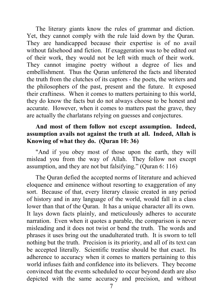The literary giants know the rules of grammar and diction. Yet, they cannot comply with the rule laid down by the Quran. They are handicapped because their expertise is of no avail without falsehood and fiction. If exaggeration was to be edited out of their work, they would not be left with much of their work. They cannot imagine poetry without a degree of lies and embellishment. Thus the Quran unfettered the facts and liberated the truth from the clutches of its captors - the poets, the writers and the philosophers of the past, present and the future. It exposed their craftiness. When it comes to matters pertaining to this world, they do know the facts but do not always choose to be honest and accurate. However, when it comes to matters past the grave, they are actually the charlatans relying on guesses and conjectures.

## **And most of them follow not except assumption. Indeed, assumption avails not against the truth at all. Indeed, Allah is Knowing of what they do. (Quran 10: 36)**

"And if you obey most of those upon the earth, they will mislead you from the way of Allah. They follow not except assumption, and they are not but falsifying." (Ouran  $6: 116$ )

The Quran defied the accepted norms of literature and achieved eloquence and eminence without resorting to exaggeration of any sort. Because of that, every literary classic created in any period of history and in any language of the world, would fall in a class lower than that of the Quran. It has a unique character all its own. It lays down facts plainly, and meticulously adheres to accurate narration. Even when it quotes a parable, the comparison is never misleading and it does not twist or bend the truth. The words and phrases it uses bring out the unadulterated truth. It is sworn to tell nothing but the truth. Precision is its priority, and all of its text can be accepted literally. Scientific treatise should be that exact. Its adherence to accuracy when it comes to matters pertaining to this world infuses faith and confidence into its believers. They become convinced that the events scheduled to occur beyond death are also depicted with the same accuracy and precision, and without

7